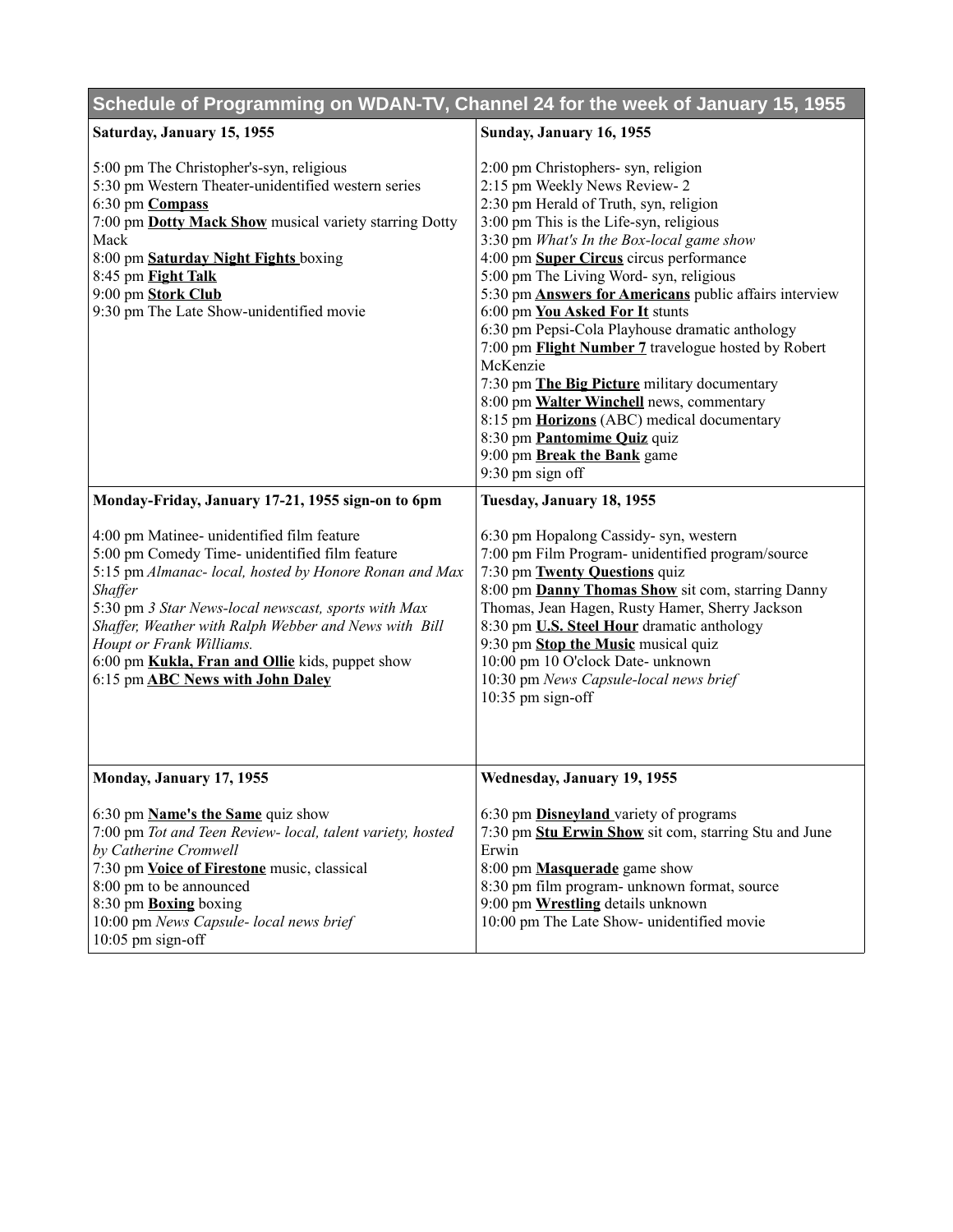| Schedule of Programming on WDAN-TV, Channel 24 for the week of January 15, 1955                                                                                                                                                                                                                                                                                                                                           |                                                                                                                                                                                                                                                                                                                                                                                                                                                                                                                                                                                                                                                                                                                                                   |
|---------------------------------------------------------------------------------------------------------------------------------------------------------------------------------------------------------------------------------------------------------------------------------------------------------------------------------------------------------------------------------------------------------------------------|---------------------------------------------------------------------------------------------------------------------------------------------------------------------------------------------------------------------------------------------------------------------------------------------------------------------------------------------------------------------------------------------------------------------------------------------------------------------------------------------------------------------------------------------------------------------------------------------------------------------------------------------------------------------------------------------------------------------------------------------------|
| Saturday, January 15, 1955                                                                                                                                                                                                                                                                                                                                                                                                | Sunday, January 16, 1955                                                                                                                                                                                                                                                                                                                                                                                                                                                                                                                                                                                                                                                                                                                          |
| 5:00 pm The Christopher's-syn, religious<br>5:30 pm Western Theater-unidentified western series<br>6:30 pm <b>Compass</b><br>7:00 pm Dotty Mack Show musical variety starring Dotty<br>Mack<br>8:00 pm Saturday Night Fights boxing<br>8:45 pm Fight Talk<br>9:00 pm Stork Club<br>9:30 pm The Late Show-unidentified movie                                                                                               | 2:00 pm Christophers- syn, religion<br>2:15 pm Weekly News Review-2<br>2:30 pm Herald of Truth, syn, religion<br>3:00 pm This is the Life-syn, religious<br>3:30 pm What's In the Box-local game show<br>4:00 pm Super Circus circus performance<br>5:00 pm The Living Word- syn, religious<br>5:30 pm <b>Answers for Americans</b> public affairs interview<br>6:00 pm You Asked For It stunts<br>6:30 pm Pepsi-Cola Playhouse dramatic anthology<br>7:00 pm Flight Number 7 travelogue hosted by Robert<br>McKenzie<br>7:30 pm The Big Picture military documentary<br>8:00 pm Walter Winchell news, commentary<br>8:15 pm Horizons (ABC) medical documentary<br>8:30 pm Pantomime Quiz quiz<br>9:00 pm Break the Bank game<br>9:30 pm sign off |
| Monday-Friday, January 17-21, 1955 sign-on to 6pm                                                                                                                                                                                                                                                                                                                                                                         | Tuesday, January 18, 1955                                                                                                                                                                                                                                                                                                                                                                                                                                                                                                                                                                                                                                                                                                                         |
| 4:00 pm Matinee- unidentified film feature<br>5:00 pm Comedy Time- unidentified film feature<br>5:15 pm Almanac- local, hosted by Honore Ronan and Max<br><b>Shaffer</b><br>5:30 pm 3 Star News-local newscast, sports with Max<br>Shaffer, Weather with Ralph Webber and News with Bill<br>Houpt or Frank Williams.<br>6:00 pm <b>Kukla, Fran and Ollie</b> kids, puppet show<br>6:15 pm <b>ABC News with John Daley</b> | 6:30 pm Hopalong Cassidy- syn, western<br>7:00 pm Film Program- unidentified program/source<br>7:30 pm Twenty Questions quiz<br>8:00 pm Danny Thomas Show sit com, starring Danny<br>Thomas, Jean Hagen, Rusty Hamer, Sherry Jackson<br>8:30 pm U.S. Steel Hour dramatic anthology<br>9:30 pm Stop the Music musical quiz<br>10:00 pm 10 O'clock Date- unknown<br>10:30 pm News Capsule-local news brief<br>10:35 pm sign-off                                                                                                                                                                                                                                                                                                                     |
| Monday, January 17, 1955                                                                                                                                                                                                                                                                                                                                                                                                  | Wednesday, January 19, 1955                                                                                                                                                                                                                                                                                                                                                                                                                                                                                                                                                                                                                                                                                                                       |
| 6:30 pm Name's the Same quiz show<br>7:00 pm Tot and Teen Review- local, talent variety, hosted<br>by Catherine Cromwell<br>7:30 pm Voice of Firestone music, classical<br>8:00 pm to be announced<br>8:30 pm <b>Boxing</b> boxing<br>10:00 pm News Capsule- local news brief<br>$10:05$ pm sign-off                                                                                                                      | 6:30 pm <b>Disneyland</b> variety of programs<br>7:30 pm Stu Erwin Show sit com, starring Stu and June<br>Erwin<br>8:00 pm <b>Masquerade</b> game show<br>8:30 pm film program- unknown format, source<br>9:00 pm Wrestling details unknown<br>10:00 pm The Late Show- unidentified movie                                                                                                                                                                                                                                                                                                                                                                                                                                                         |